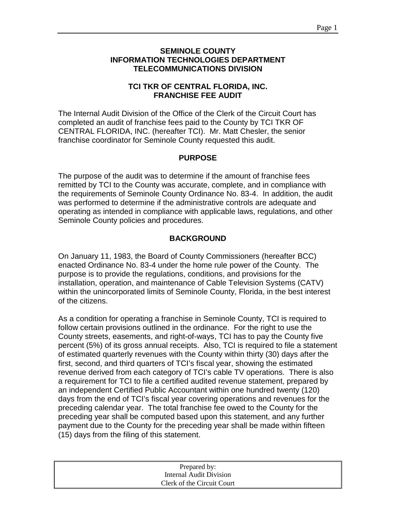#### **SEMINOLE COUNTY INFORMATION TECHNOLOGIES DEPARTMENT TELECOMMUNICATIONS DIVISION**

## **TCI TKR OF CENTRAL FLORIDA, INC. FRANCHISE FEE AUDIT**

The Internal Audit Division of the Office of the Clerk of the Circuit Court has completed an audit of franchise fees paid to the County by TCI TKR OF CENTRAL FLORIDA, INC. (hereafter TCI). Mr. Matt Chesler, the senior franchise coordinator for Seminole County requested this audit.

#### **PURPOSE**

The purpose of the audit was to determine if the amount of franchise fees remitted by TCI to the County was accurate, complete, and in compliance with the requirements of Seminole County Ordinance No. 83-4. In addition, the audit was performed to determine if the administrative controls are adequate and operating as intended in compliance with applicable laws, regulations, and other Seminole County policies and procedures.

# **BACKGROUND**

On January 11, 1983, the Board of County Commissioners (hereafter BCC) enacted Ordinance No. 83-4 under the home rule power of the County. The purpose is to provide the regulations, conditions, and provisions for the installation, operation, and maintenance of Cable Television Systems (CATV) within the unincorporated limits of Seminole County, Florida, in the best interest of the citizens.

As a condition for operating a franchise in Seminole County, TCI is required to follow certain provisions outlined in the ordinance. For the right to use the County streets, easements, and right-of-ways, TCI has to pay the County five percent (5%) of its gross annual receipts. Also, TCI is required to file a statement of estimated quarterly revenues with the County within thirty (30) days after the first, second, and third quarters of TCI's fiscal year, showing the estimated revenue derived from each category of TCI's cable TV operations. There is also a requirement for TCI to file a certified audited revenue statement, prepared by an independent Certified Public Accountant within one hundred twenty (120) days from the end of TCI's fiscal year covering operations and revenues for the preceding calendar year. The total franchise fee owed to the County for the preceding year shall be computed based upon this statement, and any further payment due to the County for the preceding year shall be made within fifteen (15) days from the filing of this statement.

| Prepared by:               |
|----------------------------|
| Internal Audit Division    |
| Clerk of the Circuit Court |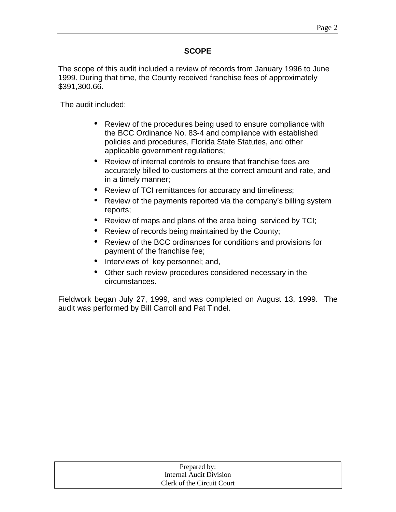# **SCOPE**

The scope of this audit included a review of records from January 1996 to June 1999. During that time, the County received franchise fees of approximately \$391,300.66.

The audit included:

- Review of the procedures being used to ensure compliance with the BCC Ordinance No. 83-4 and compliance with established policies and procedures, Florida State Statutes, and other applicable government regulations;
- Review of internal controls to ensure that franchise fees are accurately billed to customers at the correct amount and rate, and in a timely manner;
- Review of TCI remittances for accuracy and timeliness;
- Review of the payments reported via the company's billing system reports;
- Review of maps and plans of the area being serviced by TCI;
- Review of records being maintained by the County;
- Review of the BCC ordinances for conditions and provisions for payment of the franchise fee;
- Interviews of key personnel; and,
- Other such review procedures considered necessary in the circumstances.

Fieldwork began July 27, 1999, and was completed on August 13, 1999. The audit was performed by Bill Carroll and Pat Tindel.

| Prepared by:               |  |
|----------------------------|--|
| Internal Audit Division    |  |
| Clerk of the Circuit Court |  |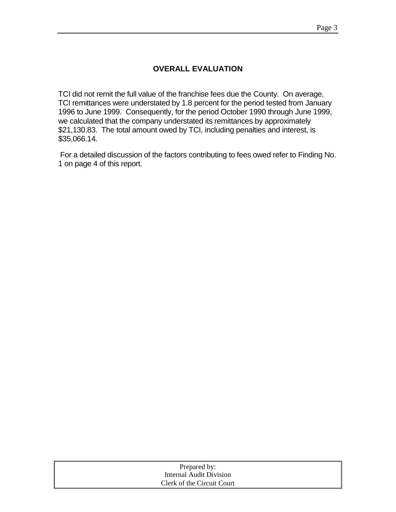# **OVERALL EVALUATION**

TCI did not remit the full value of the franchise fees due the County. On average, TCI remittances were understated by 1.8 percent for the period tested from January 1996 to June 1999. Consequently, for the period October 1990 through June 1999, we calculated that the company understated its remittances by approximately \$21,130.83. The total amount owed by TCI, including penalties and interest, is \$35,066.14.

 For a detailed discussion of the factors contributing to fees owed refer to Finding No. 1 on page 4 of this report.

| Prepared by:               |
|----------------------------|
| Internal Audit Division    |
| Clerk of the Circuit Court |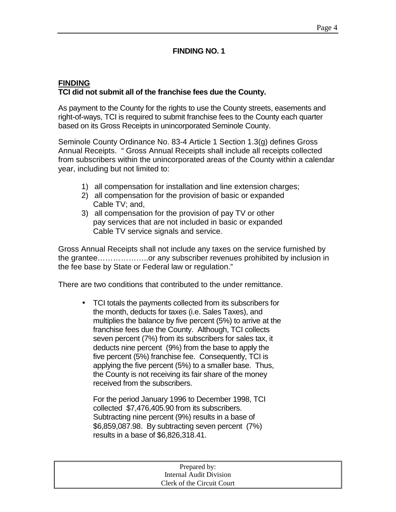### **FINDING NO. 1**

## **FINDING TCI did not submit all of the franchise fees due the County.**

As payment to the County for the rights to use the County streets, easements and right-of-ways, TCI is required to submit franchise fees to the County each quarter based on its Gross Receipts in unincorporated Seminole County.

Seminole County Ordinance No. 83-4 Article 1 Section 1.3(g) defines Gross Annual Receipts. " Gross Annual Receipts shall include all receipts collected from subscribers within the unincorporated areas of the County within a calendar year, including but not limited to:

- 1) all compensation for installation and line extension charges;
- 2) all compensation for the provision of basic or expanded Cable TV; and,
- 3) all compensation for the provision of pay TV or other pay services that are not included in basic or expanded Cable TV service signals and service.

Gross Annual Receipts shall not include any taxes on the service furnished by the grantee………………..or any subscriber revenues prohibited by inclusion in the fee base by State or Federal law or regulation."

There are two conditions that contributed to the under remittance.

• TCI totals the payments collected from its subscribers for the month, deducts for taxes (i.e. Sales Taxes), and multiplies the balance by five percent (5%) to arrive at the franchise fees due the County. Although, TCI collects seven percent (7%) from its subscribers for sales tax, it deducts nine percent (9%) from the base to apply the five percent (5%) franchise fee. Consequently, TCI is applying the five percent (5%) to a smaller base. Thus, the County is not receiving its fair share of the money received from the subscribers.

 For the period January 1996 to December 1998, TCI collected \$7,476,405.90 from its subscribers. Subtracting nine percent (9%) results in a base of \$6,859,087.98. By subtracting seven percent (7%) results in a base of \$6,826,318.41.

| Prepared by:               |  |
|----------------------------|--|
| Internal Audit Division    |  |
| Clerk of the Circuit Court |  |